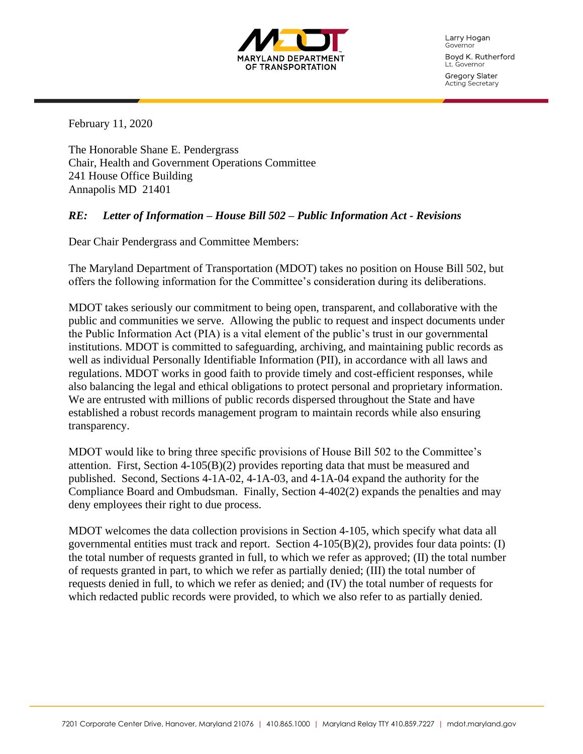

Larry Hogan Governor Boyd K. Rutherford Lt. Governor

Gregory Slater Acting Secretary

February 11, 2020

The Honorable Shane E. Pendergrass Chair, Health and Government Operations Committee 241 House Office Building Annapolis MD 21401

## *RE: Letter of Information – House Bill 502 – Public Information Act - Revisions*

Dear Chair Pendergrass and Committee Members:

The Maryland Department of Transportation (MDOT) takes no position on House Bill 502, but offers the following information for the Committee's consideration during its deliberations.

MDOT takes seriously our commitment to being open, transparent, and collaborative with the public and communities we serve. Allowing the public to request and inspect documents under the Public Information Act (PIA) is a vital element of the public's trust in our governmental institutions. MDOT is committed to safeguarding, archiving, and maintaining public records as well as individual Personally Identifiable Information (PII), in accordance with all laws and regulations. MDOT works in good faith to provide timely and cost-efficient responses, while also balancing the legal and ethical obligations to protect personal and proprietary information. We are entrusted with millions of public records dispersed throughout the State and have established a robust records management program to maintain records while also ensuring transparency.

MDOT would like to bring three specific provisions of House Bill 502 to the Committee's attention. First, Section  $4-105(B)(2)$  provides reporting data that must be measured and published. Second, Sections 4-1A-02, 4-1A-03, and 4-1A-04 expand the authority for the Compliance Board and Ombudsman. Finally, Section 4-402(2) expands the penalties and may deny employees their right to due process.

MDOT welcomes the data collection provisions in Section 4-105, which specify what data all governmental entities must track and report. Section 4-105(B)(2), provides four data points: (I) the total number of requests granted in full, to which we refer as approved; (II) the total number of requests granted in part, to which we refer as partially denied; (III) the total number of requests denied in full, to which we refer as denied; and (IV) the total number of requests for which redacted public records were provided, to which we also refer to as partially denied.